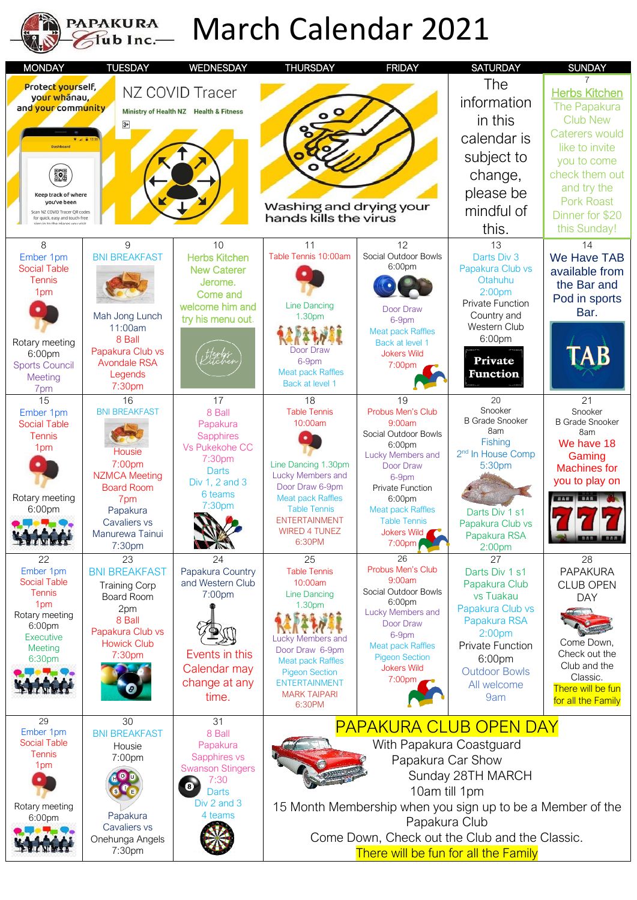## **Margakura** March Calendar 2021

| <b>MONDAY</b>                                                   | <b>TUESDAY</b>                                                              | <b>WEDNESDAY</b>                        | <b>THURSDAY</b>                                            | <b>FRIDAY</b>                                  | <b>SATURDAY</b>                            | <b>SUNDAY</b>                        |
|-----------------------------------------------------------------|-----------------------------------------------------------------------------|-----------------------------------------|------------------------------------------------------------|------------------------------------------------|--------------------------------------------|--------------------------------------|
| <b>Protect yourself,</b>                                        |                                                                             |                                         |                                                            |                                                | The                                        |                                      |
| your whanau,                                                    |                                                                             | NZ COVID Tracer                         |                                                            |                                                | information                                | <b>Herbs Kitchen</b><br>The Papakura |
| and your community                                              |                                                                             | Ministry of Health NZ Health & Fitness  | $\circ$ $\circ$                                            |                                                | in this                                    | <b>Club New</b>                      |
|                                                                 | $3+$                                                                        |                                         | ్య                                                         |                                                | calendar is                                | Caterers would                       |
|                                                                 |                                                                             |                                         |                                                            |                                                |                                            | like to invite                       |
|                                                                 |                                                                             |                                         | $\circ$                                                    |                                                | subject to                                 | you to come                          |
| <b>ROAD</b>                                                     |                                                                             |                                         |                                                            |                                                | change,                                    | check them out                       |
| Keep track of where<br>you've been                              |                                                                             |                                         |                                                            |                                                | please be                                  | and try the<br><b>Pork Roast</b>     |
| Scan NZ COVID Tracer QR codes<br>for quick, easy and touch-free |                                                                             |                                         | Washing and drying your<br>hands kills the virus           |                                                | mindful of                                 | Dinner for \$20                      |
| tion in to the places you visi-                                 |                                                                             |                                         |                                                            |                                                | this.                                      | this Sunday!                         |
| 8                                                               | 9                                                                           | 10                                      | 11                                                         | 12                                             | 13                                         | 14                                   |
| Ember 1pm                                                       | <b>BNI BREAKFAST</b>                                                        | <b>Herbs Kitchen</b>                    | Table Tennis 10:00am                                       | Social Outdoor Bowls<br>6:00 <sub>pm</sub>     | Darts Div 3                                | We Have TAB                          |
| <b>Social Table</b><br>Tennis                                   |                                                                             | <b>New Caterer</b><br>Jerome.           |                                                            |                                                | Papakura Club vs<br>Otahuhu                | available from                       |
| 1pm                                                             |                                                                             | Come and                                |                                                            |                                                | 2:00 <sub>pm</sub>                         | the Bar and<br>Pod in sports         |
|                                                                 |                                                                             | welcome him and                         | <b>Line Dancing</b>                                        | Door Draw                                      | <b>Private Function</b><br>Country and     | Bar.                                 |
|                                                                 | Mah Jong Lunch<br>11:00am                                                   | try his menu out.                       | 1.30 <sub>pm</sub>                                         | 6-9pm<br><b>Meat pack Raffles</b>              | Western Club                               |                                      |
| Rotary meeting                                                  | 8 Ball                                                                      |                                         |                                                            | Back at level 1                                | 6:00pm                                     |                                      |
| 6:00pm                                                          | Papakura Club vs<br><b>Avondale RSA</b>                                     |                                         | Door Draw<br>6-9pm                                         | <b>Jokers Wild</b>                             | Private                                    | <b>TAB</b>                           |
| <b>Sports Council</b><br>Meeting                                | Legends                                                                     |                                         | <b>Meat pack Raffles</b>                                   | 7:00 <sub>pm</sub>                             | <b>Function</b>                            |                                      |
| 7pm                                                             | 7:30 <sub>pm</sub>                                                          |                                         | Back at level 1                                            |                                                |                                            |                                      |
| $\overline{15}$<br>Ember 1pm                                    | 16<br><b>BNI BREAKFAST</b>                                                  | 17<br>8 Ball                            | 18<br><b>Table Tennis</b>                                  | 19<br>Probus Men's Club                        | 20<br>Snooker                              | 21<br>Snooker                        |
| <b>Social Table</b>                                             |                                                                             | Papakura                                | 10:00am                                                    | 9:00am                                         | <b>B Grade Snooker</b>                     | <b>B</b> Grade Snooker               |
| <b>Tennis</b>                                                   |                                                                             | <b>Sapphires</b>                        |                                                            | Social Outdoor Bowls<br>6:00 <sub>pm</sub>     | 8am<br>Fishing                             | 8am<br>We have 18                    |
| 1pm                                                             | Housie                                                                      | Vs Pukekohe CC<br>7:30pm                |                                                            | Lucky Members and                              | 2 <sup>nd</sup> In House Comp              | Gaming                               |
|                                                                 | 7:00pm<br><b>NZMCA Meeting</b>                                              | <b>Darts</b>                            | Line Dancing 1.30pm<br>Lucky Members and                   | Door Draw<br>6-9pm                             | 5:30pm                                     | <b>Machines</b> for                  |
|                                                                 | <b>Board Room</b>                                                           | Div 1, 2 and 3<br>6 teams               | Door Draw 6-9pm                                            | Private Function                               |                                            | you to play on                       |
| Rotary meeting<br>6:00pm                                        | 7pm                                                                         | 7:30pm                                  | <b>Meat pack Raffles</b><br><b>Table Tennis</b>            | 6:00 <sub>pm</sub><br><b>Meat pack Raffles</b> |                                            |                                      |
|                                                                 | Papakura<br>Cavaliers vs                                                    |                                         | <b>ENTERTAINMENT</b>                                       | <b>Table Tennis</b>                            | Darts Div 1 s1<br>Papakura Club vs         |                                      |
| <b>AND ALL</b><br><b>THE RIVING OF</b>                          | Manurewa Tainui                                                             |                                         | <b>WIRED 4 TUNEZ</b><br>6:30PM                             | Jokers Wild                                    | Papakura RSA                               |                                      |
|                                                                 | 7:30pm                                                                      | <b>TANK</b>                             |                                                            | 7:00pm<br>26                                   | 2:00 <sub>pm</sub><br>27                   | 28                                   |
| 22<br>Ember 1pm                                                 | 23<br><b>BNI BREAKFAST</b>                                                  | 24<br>Papakura Country                  | 25<br><b>Table Tennis</b>                                  | Probus Men's Club                              | Darts Div 1 s1                             | <b>PAPAKURA</b>                      |
| <b>Social Table</b>                                             | <b>Training Corp</b>                                                        | and Western Club                        | 10:00am                                                    | 9:00am<br>Social Outdoor Bowls                 | Papakura Club                              | <b>CLUB OPEN</b>                     |
| <b>Tennis</b><br>1 <sub>pm</sub>                                | Board Room                                                                  | 7:00pm                                  | <b>Line Dancing</b><br>1.30pm                              | 6:00 <sub>pm</sub>                             | vs Tuakau                                  | <b>DAY</b>                           |
| Rotary meeting                                                  | 2pm<br>8 Ball                                                               |                                         |                                                            | Lucky Members and<br>Door Draw                 | Papakura Club vs<br>Papakura RSA           |                                      |
| 6:00pm<br><b>Executive</b>                                      | Papakura Club vs                                                            |                                         | Lucky Members and                                          | 6-9pm                                          | 2:00 <sub>pm</sub>                         |                                      |
| <b>Meeting</b>                                                  | <b>Howick Club</b><br>7:30 <sub>pm</sub>                                    | Events in this                          | Door Draw 6-9pm                                            | <b>Meat pack Raffles</b>                       | Private Function                           | Come Down,<br>Check out the          |
| 6:30pm                                                          |                                                                             | Calendar may                            | <b>Meat pack Raffles</b><br><b>Pigeon Section</b>          | <b>Pigeon Section</b><br><b>Jokers Wild</b>    | 6:00 <sub>pm</sub><br><b>Outdoor Bowls</b> | Club and the                         |
|                                                                 |                                                                             | change at any                           | <b>ENTERTAINMENT</b>                                       | 7:00 <sub>pm</sub>                             | All welcome                                | Classic.<br>There will be fun        |
|                                                                 |                                                                             | time.                                   | <b>MARK TAIPARI</b><br>6:30PM                              |                                                | 9am                                        | for all the Family                   |
| 29                                                              | 30                                                                          | 31                                      |                                                            |                                                |                                            |                                      |
| Ember 1pm                                                       | <b>BNI BREAKFAST</b>                                                        | 8 Ball                                  |                                                            |                                                | <u>PAPAKURA CLUB OPEN DAY</u>              |                                      |
| <b>Social Table</b><br><b>Tennis</b>                            | Housie                                                                      | Papakura                                | With Papakura Coastguard                                   |                                                |                                            |                                      |
| 1pm                                                             | 7:00pm                                                                      | Sapphires vs<br><b>Swanson Stingers</b> | Papakura Car Show                                          |                                                |                                            |                                      |
| Sunday 28TH MARCH<br>7:30                                       |                                                                             |                                         |                                                            |                                                |                                            |                                      |
|                                                                 |                                                                             | <b>Darts</b><br>Div 2 and 3             | 10am till 1pm                                              |                                                |                                            |                                      |
| Rotary meeting<br>6:00pm                                        | Papakura                                                                    | 4 teams                                 | 15 Month Membership when you sign up to be a Member of the |                                                |                                            |                                      |
|                                                                 | Cavaliers vs                                                                |                                         | Papakura Club                                              |                                                |                                            |                                      |
|                                                                 | Come Down, Check out the Club and the Classic.<br>Onehunga Angels<br>7:30pm |                                         |                                                            |                                                |                                            |                                      |
|                                                                 | There will be fun for all the Family                                        |                                         |                                                            |                                                |                                            |                                      |